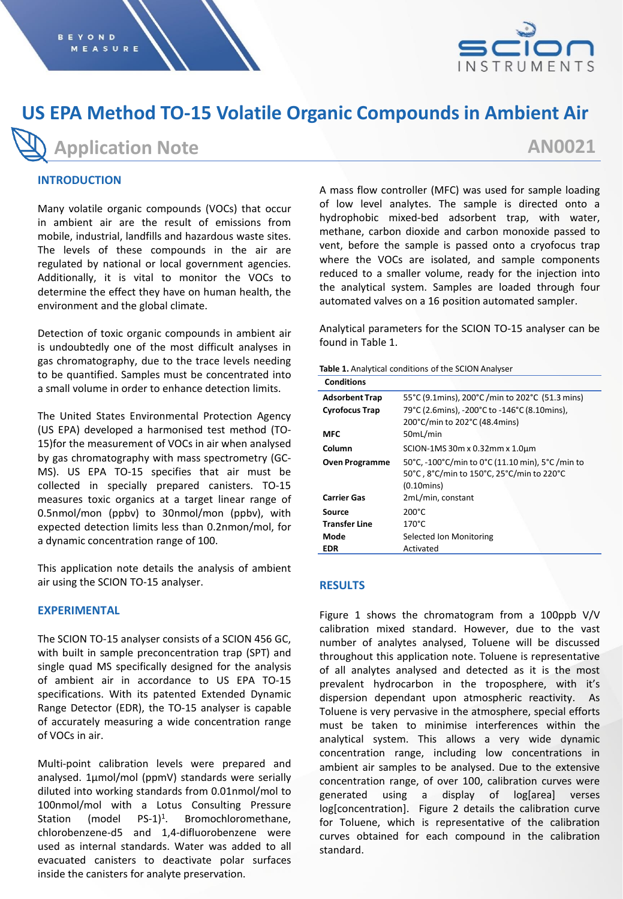

# **US EPA Method TO-15 Volatile Organic Compounds in Ambient Air**

**Application Note**

## **AN0021**

## **INTRODUCTION**

Many volatile organic compounds (VOCs) that occur in ambient air are the result of emissions from mobile, industrial, landfills and hazardous waste sites. The levels of these compounds in the air are regulated by national or local government agencies. Additionally, it is vital to monitor the VOCs to determine the effect they have on human health, the environment and the global climate.

Detection of toxic organic compounds in ambient air is undoubtedly one of the most difficult analyses in gas chromatography, due to the trace levels needing to be quantified. Samples must be concentrated into a small volume in order to enhance detection limits.

The United States Environmental Protection Agency (US EPA) developed a harmonised test method (TO-15)for the measurement of VOCs in air when analysed by gas chromatography with mass spectrometry (GC-MS). US EPA TO-15 specifies that air must be collected in specially prepared canisters. TO-15 measures toxic organics at a target linear range of 0.5nmol/mon (ppbv) to 30nmol/mon (ppbv), with expected detection limits less than 0.2nmon/mol, for a dynamic concentration range of 100.

This application note details the analysis of ambient air using the SCION TO-15 analyser.

## **EXPERIMENTAL**

The SCION TO-15 analyser consists of a SCION 456 GC, with built in sample preconcentration trap (SPT) and single quad MS specifically designed for the analysis of ambient air in accordance to US EPA TO-15 specifications. With its patented Extended Dynamic Range Detector (EDR), the TO-15 analyser is capable of accurately measuring a wide concentration range of VOCs in air.

Multi-point calibration levels were prepared and analysed. 1µmol/mol (ppmV) standards were serially diluted into working standards from 0.01nmol/mol to 100nmol/mol with a Lotus Consulting Pressure Station (model  $PS-1)^1$ . . Bromochloromethane, chlorobenzene-d5 and 1,4-difluorobenzene were used as internal standards. Water was added to all evacuated canisters to deactivate polar surfaces inside the canisters for analyte preservation.

A mass flow controller (MFC) was used for sample loading of low level analytes. The sample is directed onto a hydrophobic mixed-bed adsorbent trap, with water, methane, carbon dioxide and carbon monoxide passed to vent, before the sample is passed onto a cryofocus trap where the VOCs are isolated, and sample components reduced to a smaller volume, ready for the injection into the analytical system. Samples are loaded through four automated valves on a 16 position automated sampler.

Analytical parameters for the SCION TO-15 analyser can be found in Table 1.

| Table 1. Analytical conditions of the SCION Analyser |  |
|------------------------------------------------------|--|
|------------------------------------------------------|--|

| <b>Conditions</b>     |                                                 |  |  |
|-----------------------|-------------------------------------------------|--|--|
| <b>Adsorbent Trap</b> | 55°C (9.1mins), 200°C /min to 202°C (51.3 mins) |  |  |
| <b>Cyrofocus Trap</b> | 79°C (2.6mins), -200°C to -146°C (8.10mins),    |  |  |
|                       | 200°C/min to 202°C (48.4mins)                   |  |  |
| <b>MFC</b>            | 50mL/min                                        |  |  |
| Column                | SCION-1MS 30m x 0.32mm x 1.0um                  |  |  |
| <b>Oven Programme</b> | 50°C, -100°C/min to 0°C (11.10 min), 5°C/min to |  |  |
|                       | 50°C, 8°C/min to 150°C, 25°C/min to 220°C       |  |  |
|                       | $(0.10 \text{mins})$                            |  |  |
| <b>Carrier Gas</b>    | 2mL/min, constant                               |  |  |
| Source                | $200^{\circ}$ C                                 |  |  |
| <b>Transfer Line</b>  | $170^{\circ}$ C                                 |  |  |
| Mode                  | Selected Ion Monitoring                         |  |  |
| EDR                   | Activated                                       |  |  |

## **RESULTS**

Figure 1 shows the chromatogram from a 100ppb V/V calibration mixed standard. However, due to the vast number of analytes analysed, Toluene will be discussed throughout this application note. Toluene is representative of all analytes analysed and detected as it is the most prevalent hydrocarbon in the troposphere, with it's dispersion dependant upon atmospheric reactivity. As Toluene is very pervasive in the atmosphere, special efforts must be taken to minimise interferences within the analytical system. This allows a very wide dynamic concentration range, including low concentrations in ambient air samples to be analysed. Due to the extensive concentration range, of over 100, calibration curves were generated using a display of log[area] verses log[concentration]. Figure 2 details the calibration curve for Toluene, which is representative of the calibration curves obtained for each compound in the calibration standard.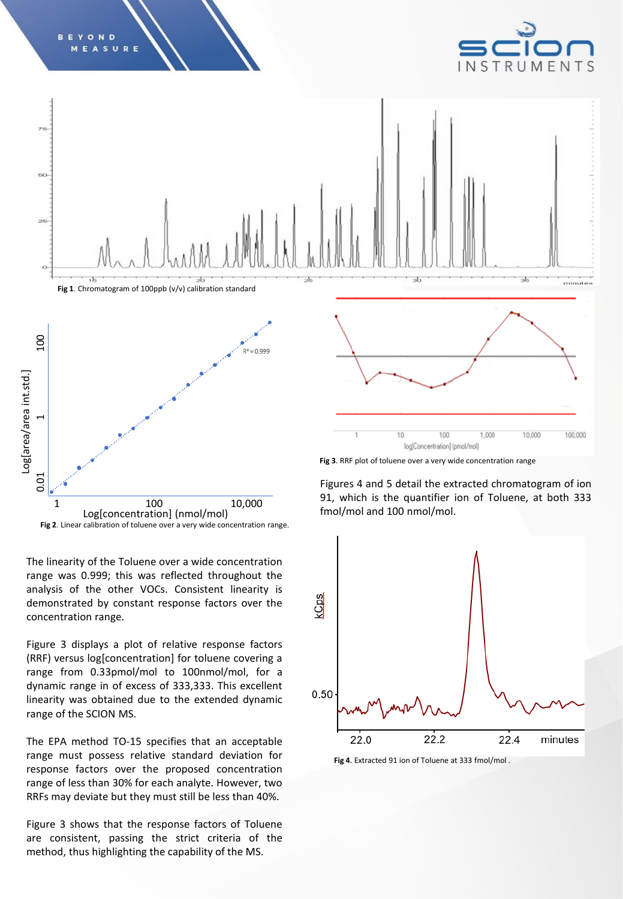

**Fig 2**. Linear calibration of toluene over a very wide concentration range.

The linearity of the Toluene over a wide concentration range was 0.999; this was reflected throughout the analysis of the other VOCs. Consistent linearity is demonstrated by constant response factors over the concentration range.

Figure 3 displays a plot of relative response factors (RRF) versus log[concentration] for toluene covering a range from 0.33pmol/mol to 100nmol/mol, for a dynamic range in of excess of 333,333. This excellent linearity was obtained due to the extended dynamic range of the SCION MS.

The EPA method TO-15 specifies that an acceptable range must possess relative standard deviation for response factors over the proposed concentration range of less than 30% for each analyte. However, two RRFs may deviate but they must still be less than 40%.

Figure 3 shows that the response factors of Toluene are consistent, passing the strict criteria of the method, thus highlighting the capability of the MS.



**Fig 4**. Extracted 91 ion of Toluene at 333 fmol/mol .